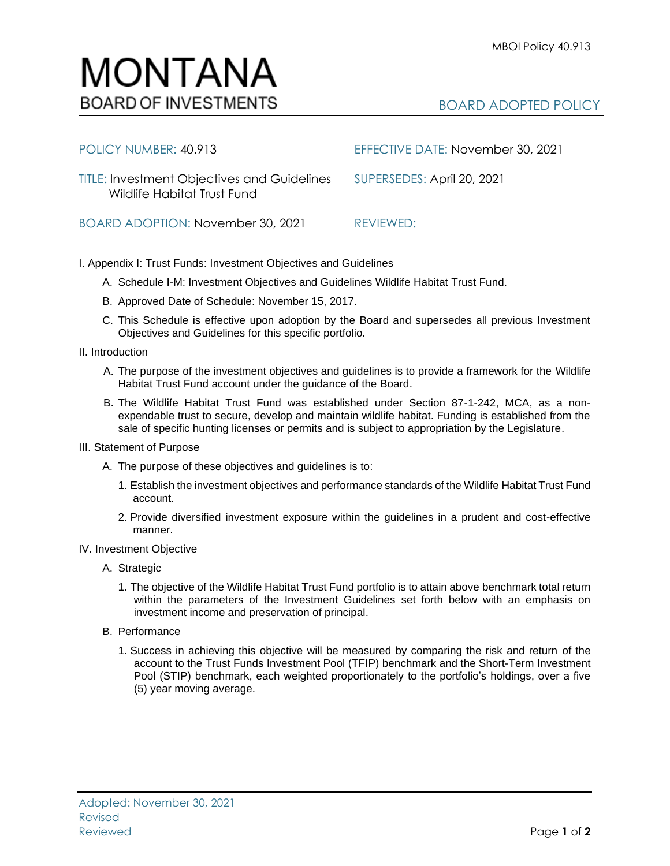## BOARD ADOPTED POLICY

| POLICY NUMBER: 40.913                                                             | EFFECTIVE DATE: November 30, 2021 |
|-----------------------------------------------------------------------------------|-----------------------------------|
| <b>TITLE: Investment Objectives and Guidelines</b><br>Wildlife Habitat Trust Fund | SUPERSEDES: April 20, 2021        |
| BOARD ADOPTION: November 30, 2021                                                 | REVIEWED:                         |

I. Appendix I: Trust Funds: Investment Objectives and Guidelines

- A. Schedule I-M: Investment Objectives and Guidelines Wildlife Habitat Trust Fund.
- B. Approved Date of Schedule: November 15, 2017.
- C. This Schedule is effective upon adoption by the Board and supersedes all previous Investment Objectives and Guidelines for this specific portfolio*.*
- II. Introduction
	- A. The purpose of the investment objectives and guidelines is to provide a framework for the Wildlife Habitat Trust Fund account under the guidance of the Board.
	- B. The Wildlife Habitat Trust Fund was established under Section 87-1-242, MCA, as a nonexpendable trust to secure, develop and maintain wildlife habitat. Funding is established from the sale of specific hunting licenses or permits and is subject to appropriation by the Legislature.
- III. Statement of Purpose
	- A. The purpose of these objectives and guidelines is to:
		- 1. Establish the investment objectives and performance standards of the Wildlife Habitat Trust Fund account.
		- 2. Provide diversified investment exposure within the guidelines in a prudent and cost-effective manner.
- IV. Investment Objective
	- A. Strategic
		- 1. The objective of the Wildlife Habitat Trust Fund portfolio is to attain above benchmark total return within the parameters of the Investment Guidelines set forth below with an emphasis on investment income and preservation of principal.
	- B. Performance
		- 1. Success in achieving this objective will be measured by comparing the risk and return of the account to the Trust Funds Investment Pool (TFIP) benchmark and the Short-Term Investment Pool (STIP) benchmark, each weighted proportionately to the portfolio's holdings, over a five (5) year moving average.